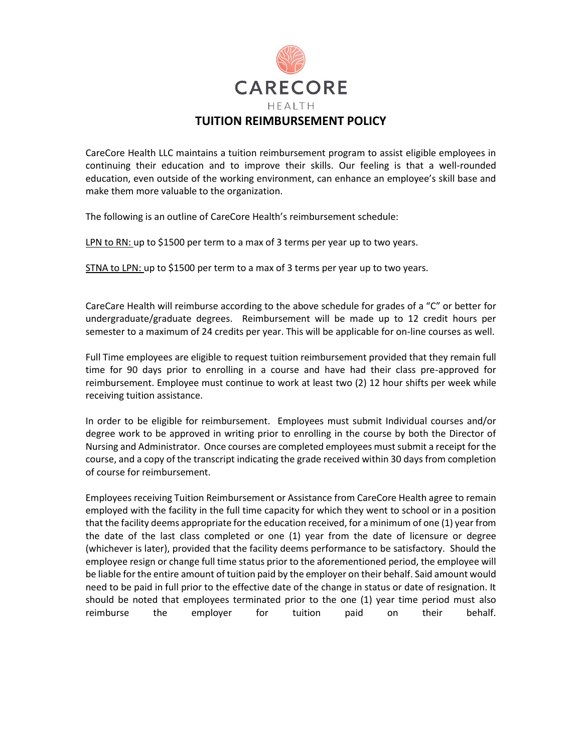

CareCore Health LLC maintains a tuition reimbursement program to assist eligible employees in continuing their education and to improve their skills. Our feeling is that a well-rounded education, even outside of the working environment, can enhance an employee's skill base and make them more valuable to the organization.

The following is an outline of CareCore Health's reimbursement schedule:

LPN to RN: up to \$1500 per term to a max of 3 terms per year up to two years.

STNA to LPN: up to \$1500 per term to a max of 3 terms per year up to two years.

CareCare Health will reimburse according to the above schedule for grades of a "C" or better for undergraduate/graduate degrees. Reimbursement will be made up to 12 credit hours per semester to a maximum of 24 credits per year. This will be applicable for on-line courses as well.

Full Time employees are eligible to request tuition reimbursement provided that they remain full time for 90 days prior to enrolling in a course and have had their class pre-approved for reimbursement. Employee must continue to work at least two (2) 12 hour shifts per week while receiving tuition assistance.

In order to be eligible for reimbursement. Employees must submit Individual courses and/or degree work to be approved in writing prior to enrolling in the course by both the Director of Nursing and Administrator. Once courses are completed employees must submit a receipt for the course, and a copy of the transcript indicating the grade received within 30 days from completion of course for reimbursement.

Employees receiving Tuition Reimbursement or Assistance from CareCore Health agree to remain employed with the facility in the full time capacity for which they went to school or in a position that the facility deems appropriate for the education received, for a minimum of one (1) year from the date of the last class completed or one (1) year from the date of licensure or degree (whichever is later), provided that the facility deems performance to be satisfactory. Should the employee resign or change full time status prior to the aforementioned period, the employee will be liable for the entire amount of tuition paid by the employer on their behalf. Said amount would need to be paid in full prior to the effective date of the change in status or date of resignation. It should be noted that employees terminated prior to the one (1) year time period must also reimburse the employer for tuition paid on their behalf.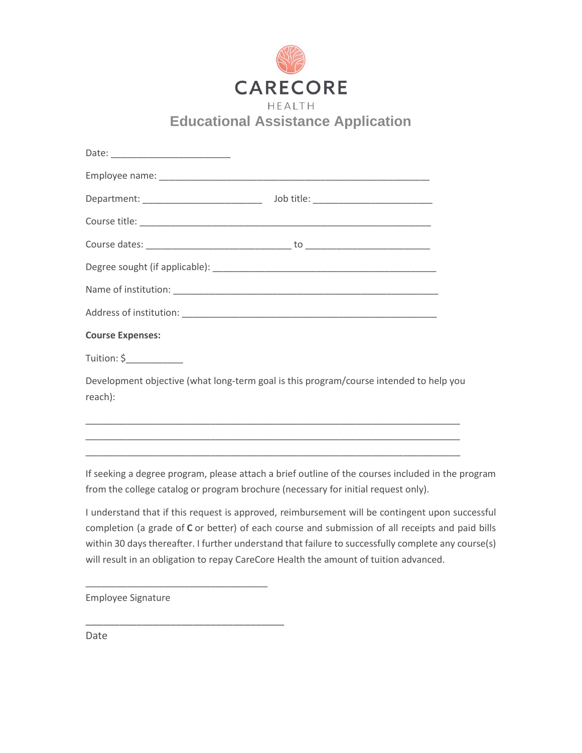

| <b>Course Expenses:</b> |                                                                                        |
|-------------------------|----------------------------------------------------------------------------------------|
| $Tution: \xi$           |                                                                                        |
|                         | Development objective (what long-term goal is this program/course intended to help you |
| reach):                 |                                                                                        |
|                         |                                                                                        |
|                         |                                                                                        |

If seeking a degree program, please attach a brief outline of the courses included in the program from the college catalog or program brochure (necessary for initial request only).

\_\_\_\_\_\_\_\_\_\_\_\_\_\_\_\_\_\_\_\_\_\_\_\_\_\_\_\_\_\_\_\_\_\_\_\_\_\_\_\_\_\_\_\_\_\_\_\_\_\_\_\_\_\_\_\_\_\_\_\_\_\_\_\_\_\_\_\_\_\_\_\_

I understand that if this request is approved, reimbursement will be contingent upon successful completion (a grade of **C** or better) of each course and submission of all receipts and paid bills within 30 days thereafter. I further understand that failure to successfully complete any course(s) will result in an obligation to repay CareCore Health the amount of tuition advanced.

Employee Signature

\_\_\_\_\_\_\_\_\_\_\_\_\_\_\_\_\_\_\_\_\_\_\_\_\_\_\_\_\_\_\_\_\_\_\_

\_\_\_\_\_\_\_\_\_\_\_\_\_\_\_\_\_\_\_\_\_\_\_\_\_\_\_\_\_\_\_\_\_\_\_

Date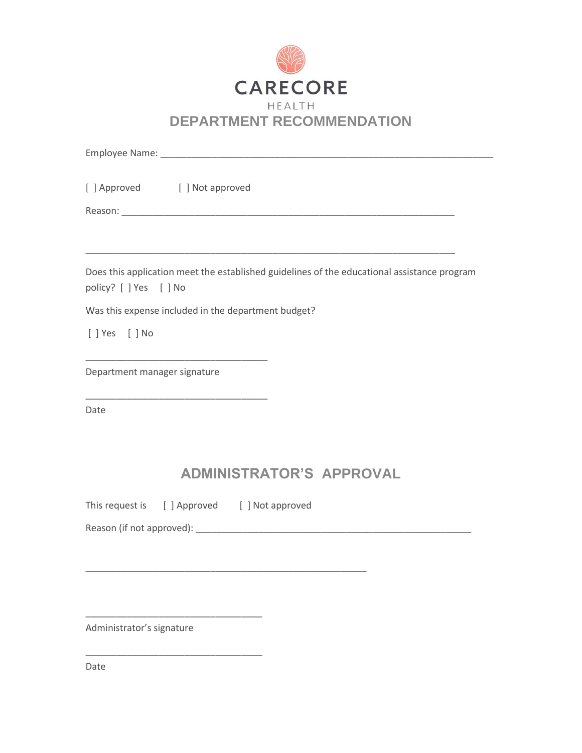

| [] Approved [] Not approved                                                                                           |  |
|-----------------------------------------------------------------------------------------------------------------------|--|
|                                                                                                                       |  |
|                                                                                                                       |  |
|                                                                                                                       |  |
| Does this application meet the established guidelines of the educational assistance program<br>policy? [ ] Yes [ ] No |  |
| Was this expense included in the department budget?                                                                   |  |
| [ ] Yes [ ] No                                                                                                        |  |
|                                                                                                                       |  |
| Department manager signature                                                                                          |  |
|                                                                                                                       |  |
| Date                                                                                                                  |  |
|                                                                                                                       |  |

## **ADMINISTRATOR'S APPROVAL**

This request is [ ] Approved [ ] Not approved

\_\_\_\_\_\_\_\_\_\_\_\_\_\_\_\_\_\_\_\_\_\_\_\_\_\_\_\_\_\_\_\_\_\_\_\_\_\_\_\_\_\_\_\_\_\_\_\_\_\_\_\_\_\_

Reason (if not approved): \_\_\_\_\_\_\_\_\_\_\_\_\_\_\_\_\_\_\_\_\_\_\_\_\_\_\_\_\_\_\_\_\_\_\_\_\_\_\_\_\_\_\_\_\_\_\_\_\_\_\_\_\_

Administrator's signature

\_\_\_\_\_\_\_\_\_\_\_\_\_\_\_\_\_\_\_\_\_\_\_\_\_\_\_\_\_\_\_\_\_\_

\_\_\_\_\_\_\_\_\_\_\_\_\_\_\_\_\_\_\_\_\_\_\_\_\_\_\_\_\_\_\_\_\_\_

Date